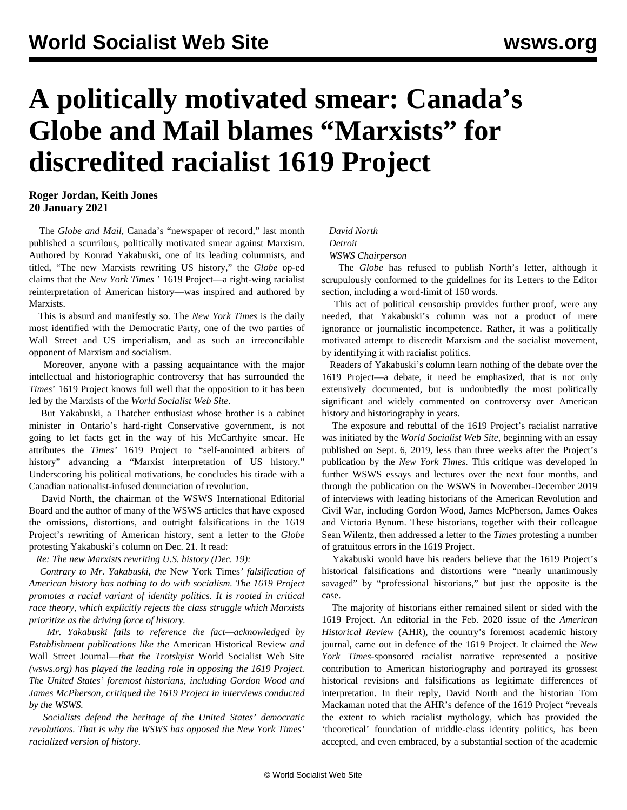# **A politically motivated smear: Canada's Globe and Mail blames "Marxists" for discredited racialist 1619 Project**

### **Roger Jordan, Keith Jones 20 January 2021**

 The *Globe and Mail*, Canada's "newspaper of record," last month published a scurrilous, politically motivated smear against Marxism. Authored by Konrad Yakabuski, one of its leading columnists, and titled, "The new Marxists rewriting US history," the *Globe* op-ed claims that the *New York Times* ' 1619 Project—a right-wing racialist reinterpretation of American history—was inspired and authored by Marxists.

 This is absurd and manifestly so. The *New York Times* is the daily most identified with the Democratic Party, one of the two parties of Wall Street and US imperialism, and as such an irreconcilable opponent of Marxism and socialism.

 Moreover, anyone with a passing acquaintance with the major intellectual and historiographic controversy that has surrounded the *Times*' 1619 Project knows full well that the opposition to it has been led by the Marxists of the *World Socialist Web Site*.

 But Yakabuski, a Thatcher enthusiast whose brother is a cabinet minister in Ontario's hard-right Conservative government, is not going to let facts get in the way of his McCarthyite smear. He attributes the *Times'* 1619 Project to "self-anointed arbiters of history" advancing a "Marxist interpretation of US history." Underscoring his political motivations, he concludes his tirade with a Canadian nationalist-infused denunciation of revolution.

 David North, the chairman of the WSWS International Editorial Board and the author of many of the WSWS articles that have exposed the omissions, distortions, and outright falsifications in the 1619 Project's rewriting of American history, sent a letter to the *Globe* protesting Yakabuski's column on Dec. 21. It read:

*Re: The new Marxists rewriting U.S. history (Dec. 19):*

 *Contrary to Mr. Yakabuski, the* New York Times*' falsification of American history has nothing to do with socialism. The 1619 Project promotes a racial variant of identity politics. It is rooted in critical race theory, which explicitly rejects the class struggle which Marxists prioritize as the driving force of history.*

 *Mr. Yakabuski fails to reference the fact—acknowledged by Establishment publications like the* American Historical Review *and* Wall Street Journal—*that the Trotskyist* World Socialist Web Site *(wsws.org) has played the leading role in opposing the 1619 Project. The United States' foremost historians, including Gordon Wood and James McPherson, critiqued the 1619 Project in interviews conducted by the WSWS.*

 *Socialists defend the heritage of the United States' democratic revolutions. That is why the WSWS has opposed the New York Times' racialized version of history.*

#### *David North*

#### *Detroit*

#### *WSWS Chairperson*

 The *Globe* has refused to publish North's letter, although it scrupulously conformed to the guidelines for its Letters to the Editor section, including a word-limit of 150 words.

 This act of political censorship provides further proof, were any needed, that Yakabuski's column was not a product of mere ignorance or journalistic incompetence. Rather, it was a politically motivated attempt to discredit Marxism and the socialist movement, by identifying it with racialist politics.

 Readers of Yakabuski's column learn nothing of the debate over the 1619 Project—a debate, it need be emphasized, that is not only extensively documented, but is undoubtedly the most politically significant and widely commented on controversy over American history and historiography in years.

 The exposure and rebuttal of the 1619 Project's racialist narrative was initiated by the *World Socialist Web Site*, beginning with an essay published on Sept. 6, 2019, less than three weeks after the Project's publication by the *New York Times.* This critique was developed in further WSWS essays and lectures over the next four months, and through the publication on the WSWS in November-December 2019 of interviews with leading historians of the American Revolution and Civil War, including Gordon Wood, James McPherson, James Oakes and Victoria Bynum. These historians, together with their colleague Sean Wilentz, then addressed a letter to the *Times* protesting a number of gratuitous errors in the 1619 Project.

 Yakabuski would have his readers believe that the 1619 Project's historical falsifications and distortions were "nearly unanimously savaged" by "professional historians," but just the opposite is the case.

 The majority of historians either remained silent or sided with the 1619 Project. An editorial in the Feb. 2020 issue of the *American Historical Review* (AHR), the country's foremost academic history journal, came out in defence of the 1619 Project. It claimed the *New York Times*-sponsored racialist narrative represented a positive contribution to American historiography and portrayed its grossest historical revisions and falsifications as legitimate differences of interpretation. In their reply, David North and the historian Tom Mackaman noted that the AHR's defence of the 1619 Project "reveals the extent to which racialist mythology, which has provided the 'theoretical' foundation of middle-class identity politics, has been accepted, and even embraced, by a substantial section of the academic